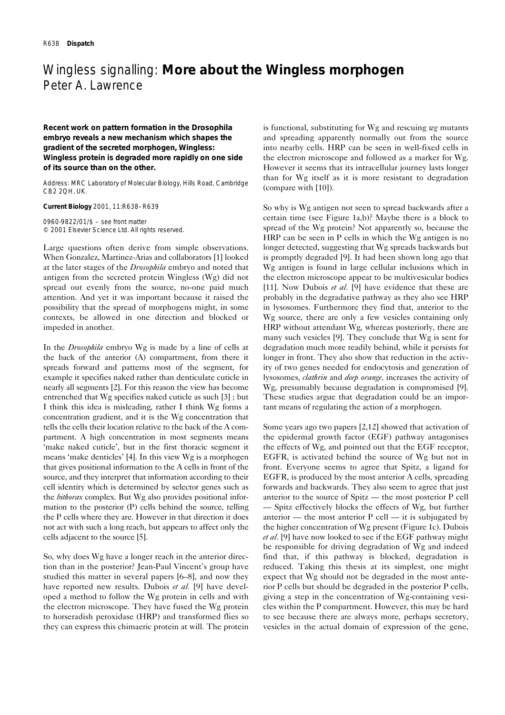## Wingless signalling: **More about the Wingless morphogen** Peter A. Lawrence

**Recent work on pattern formation in the** *Drosophila* **embryo reveals a new mechanism which shapes the gradient of the secreted morphogen, Wingless: Wingless protein is degraded more rapidly on one side of its source than on the other.**

Address: MRC Laboratory of Molecular Biology, Hills Road, Cambridge CB2 2QH, UK.

**Current Biology** 2001, 11:R638–R639

0960-9822/01/\$ – see front matter © 2001 Elsevier Science Ltd. All rights reserved.

Large questions often derive from simple observations. When Gonzalez, Martinez-Arias and collaborators [1] looked at the later stages of the *Drosophila* embryo and noted that antigen from the secreted protein Wingless (Wg) did not spread out evenly from the source, no-one paid much attention. And yet it was important because it raised the possibility that the spread of morphogens might, in some contexts, be allowed in one direction and blocked or impeded in another.

In the *Drosophila* embryo Wg is made by a line of cells at the back of the anterior (A) compartment, from there it spreads forward and patterns most of the segment, for example it specifies naked rather than denticulate cuticle in nearly all segments [2]. For this reason the view has become entrenched that Wg specifies naked cuticle as such [3] ; but I think this idea is misleading, rather I think Wg forms a concentration gradient, and it is the Wg concentration that tells the cells their location relative to the back of the A compartment. A high concentration in most segments means 'make naked cuticle', but in the first thoracic segment it means 'make denticles' [4]. In this view Wg is a morphogen that gives positional information to the A cells in front of the source, and they interpret that information according to their cell identity which is determined by selector genes such as the *bithorax* complex. But Wg also provides positional information to the posterior (P) cells behind the source, telling the P cells where they are. However in that direction it does not act with such a long reach, but appears to affect only the cells adjacent to the source [5].

So, why does Wg have a longer reach in the anterior direction than in the posterior? Jean-Paul Vincent's group have studied this matter in several papers [6–8], and now they have reported new results. Dubois *et al.* [9] have developed a method to follow the Wg protein in cells and with the electron microscope. They have fused the Wg protein to horseradish peroxidase (HRP) and transformed flies so they can express this chimaeric protein at will. The protein is functional, substituting for Wg and rescuing *wg* mutants and spreading apparently normally out from the source into nearby cells. HRP can be seen in well-fixed cells in the electron microscope and followed as a marker for Wg. However it seems that its intracellular journey lasts longer than for Wg itself as it is more resistant to degradation (compare with [10]).

So why is Wg antigen not seen to spread backwards after a certain time (see Figure 1a,b)? Maybe there is a block to spread of the Wg protein? Not apparently so, because the HRP can be seen in P cells in which the Wg antigen is no longer detected, suggesting that Wg spreads backwards but is promptly degraded [9]. It had been shown long ago that Wg antigen is found in large cellular inclusions which in the electron microscope appear to be multivesicular bodies [11]. Now Dubois *et al.* [9] have evidence that these are probably in the degradative pathway as they also see HRP in lysosomes. Furthermore they find that, anterior to the Wg source, there are only a few vesicles containing only HRP without attendant Wg, whereas posteriorly, there are many such vesicles [9]. They conclude that Wg is sent for degradation much more readily behind, while it persists for longer in front. They also show that reduction in the activity of two genes needed for endocytosis and generation of lysosomes, *clathrin* and *deep orange,* increases the activity of Wg, presumably because degradation is compromised [9]. These studies argue that degradation could be an important means of regulating the action of a morphogen.

Some years ago two papers [2,12] showed that activation of the epidermal growth factor (EGF) pathway antagonises the effects of Wg, and pointed out that the EGF receptor, EGFR, is activated behind the source of Wg but not in front. Everyone seems to agree that Spitz, a ligand for EGFR, is produced by the most anterior A cells, spreading forwards and backwards. They also seem to agree that just anterior to the source of Spitz — the most posterior P cell — Spitz effectively blocks the effects of Wg, but further anterior — the most anterior  $P$  cell — it is subjugated by the higher concentration of Wg present (Figure 1c). Dubois *et al*. [9] have now looked to see if the EGF pathway might be responsible for driving degradation of Wg and indeed find that, if this pathway is blocked, degradation is reduced. Taking this thesis at its simplest, one might expect that Wg should not be degraded in the most anterior P cells but should be degraded in the posterior P cells, giving a step in the concentration of Wg-containing vesicles within the P compartment. However, this may be hard to see because there are always more, perhaps secretory, vesicles in the actual domain of expression of the gene,